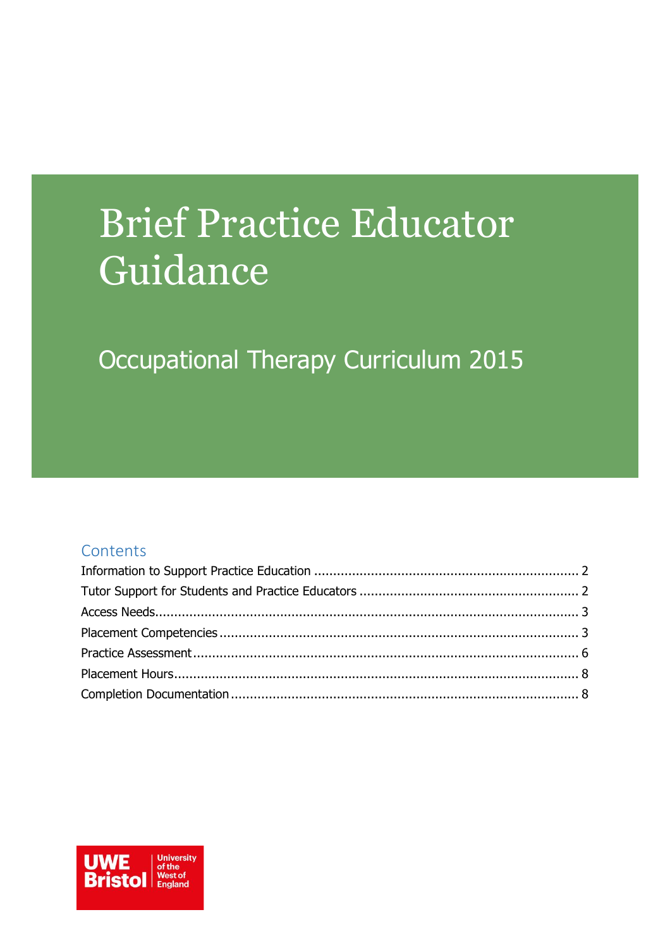# **Brief Practice Educator** Guidance

# Occupational Therapy Curriculum 2015

#### Contents

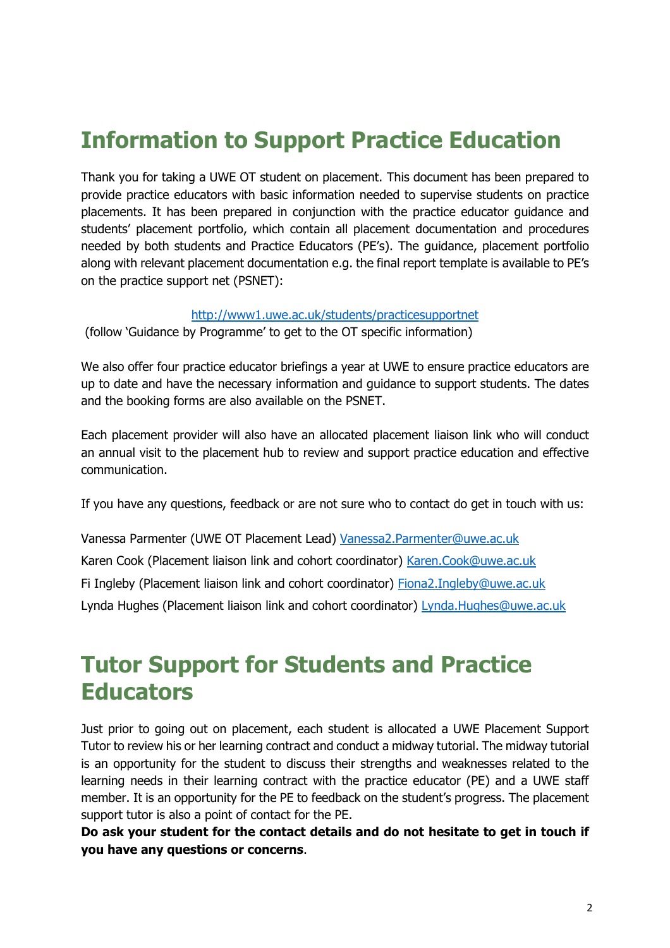# <span id="page-1-0"></span>**Information to Support Practice Education**

Thank you for taking a UWE OT student on placement. This document has been prepared to provide practice educators with basic information needed to supervise students on practice placements. It has been prepared in conjunction with the practice educator guidance and students' placement portfolio, which contain all placement documentation and procedures needed by both students and Practice Educators (PE's). The guidance, placement portfolio along with relevant placement documentation e.g. the final report template is available to PE's on the practice support net (PSNET):

#### <http://www1.uwe.ac.uk/students/practicesupportnet>

(follow 'Guidance by Programme' to get to the OT specific information)

We also offer four practice educator briefings a year at UWE to ensure practice educators are up to date and have the necessary information and guidance to support students. The dates and the booking forms are also available on the PSNET.

Each placement provider will also have an allocated placement liaison link who will conduct an annual visit to the placement hub to review and support practice education and effective communication.

If you have any questions, feedback or are not sure who to contact do get in touch with us:

Vanessa Parmenter (UWE OT Placement Lead) [Vanessa2.Parmenter@uwe.ac.uk](mailto:Vanessa2.Parmenter@uwe.ac.uk) Karen Cook (Placement liaison link and cohort coordinator) [Karen.Cook@uwe.ac.uk](mailto:Karen.Cook@uwe.ac.uk) Fi Ingleby (Placement liaison link and cohort coordinator) [Fiona2.Ingleby@uwe.ac.uk](mailto:Fiona2.Ingleby@uwe.ac.uk) Lynda Hughes (Placement liaison link and cohort coordinator) [Lynda.Hughes@uwe.ac.uk](mailto:Lynda.Hughes@uwe.ac.uk)

### <span id="page-1-1"></span>**Tutor Support for Students and Practice Educators**

Just prior to going out on placement, each student is allocated a UWE Placement Support Tutor to review his or her learning contract and conduct a midway tutorial. The midway tutorial is an opportunity for the student to discuss their strengths and weaknesses related to the learning needs in their learning contract with the practice educator (PE) and a UWE staff member. It is an opportunity for the PE to feedback on the student's progress. The placement support tutor is also a point of contact for the PE.

**Do ask your student for the contact details and do not hesitate to get in touch if you have any questions or concerns**.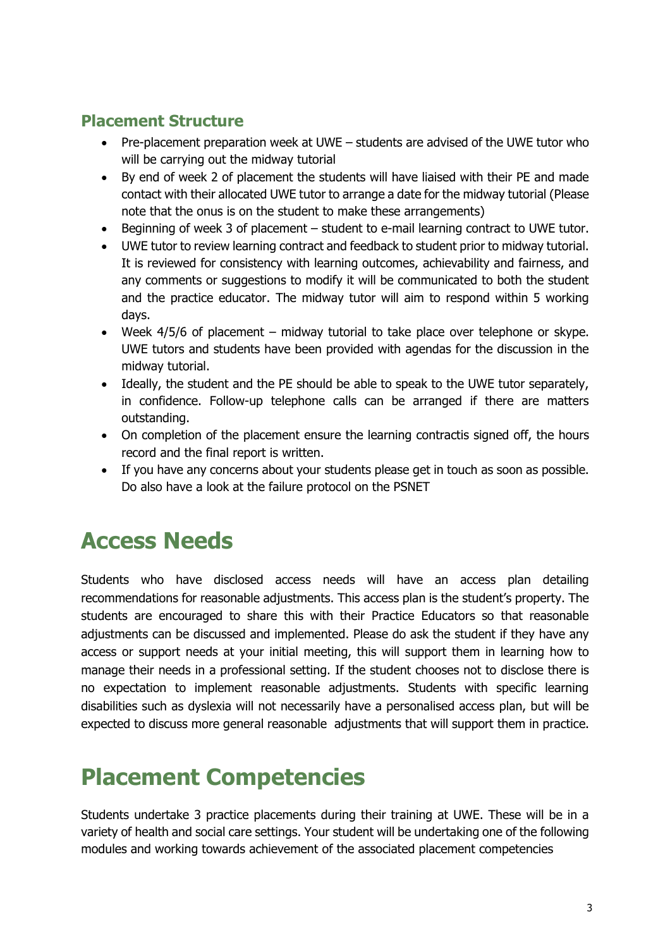#### **Placement Structure**

- Pre-placement preparation week at UWE students are advised of the UWE tutor who will be carrying out the midway tutorial
- By end of week 2 of placement the students will have liaised with their PE and made contact with their allocated UWE tutor to arrange a date for the midway tutorial (Please note that the onus is on the student to make these arrangements)
- Beginning of week 3 of placement student to e-mail learning contract to UWE tutor.
- UWE tutor to review learning contract and feedback to student prior to midway tutorial. It is reviewed for consistency with learning outcomes, achievability and fairness, and any comments or suggestions to modify it will be communicated to both the student and the practice educator. The midway tutor will aim to respond within 5 working days.
- Week 4/5/6 of placement midway tutorial to take place over telephone or skype. UWE tutors and students have been provided with agendas for the discussion in the midway tutorial.
- Ideally, the student and the PE should be able to speak to the UWE tutor separately, in confidence. Follow-up telephone calls can be arranged if there are matters outstanding.
- On completion of the placement ensure the learning contractis signed off, the hours record and the final report is written.
- If you have any concerns about your students please get in touch as soon as possible. Do also have a look at the failure protocol on the PSNET

### <span id="page-2-0"></span>**Access Needs**

Students who have disclosed access needs will have an access plan detailing recommendations for reasonable adjustments. This access plan is the student's property. The students are encouraged to share this with their Practice Educators so that reasonable adjustments can be discussed and implemented. Please do ask the student if they have any access or support needs at your initial meeting, this will support them in learning how to manage their needs in a professional setting. If the student chooses not to disclose there is no expectation to implement reasonable adjustments. Students with specific learning disabilities such as dyslexia will not necessarily have a personalised access plan, but will be expected to discuss more general reasonable adjustments that will support them in practice.

# <span id="page-2-1"></span>**Placement Competencies**

Students undertake 3 practice placements during their training at UWE. These will be in a variety of health and social care settings. Your student will be undertaking one of the following modules and working towards achievement of the associated placement competencies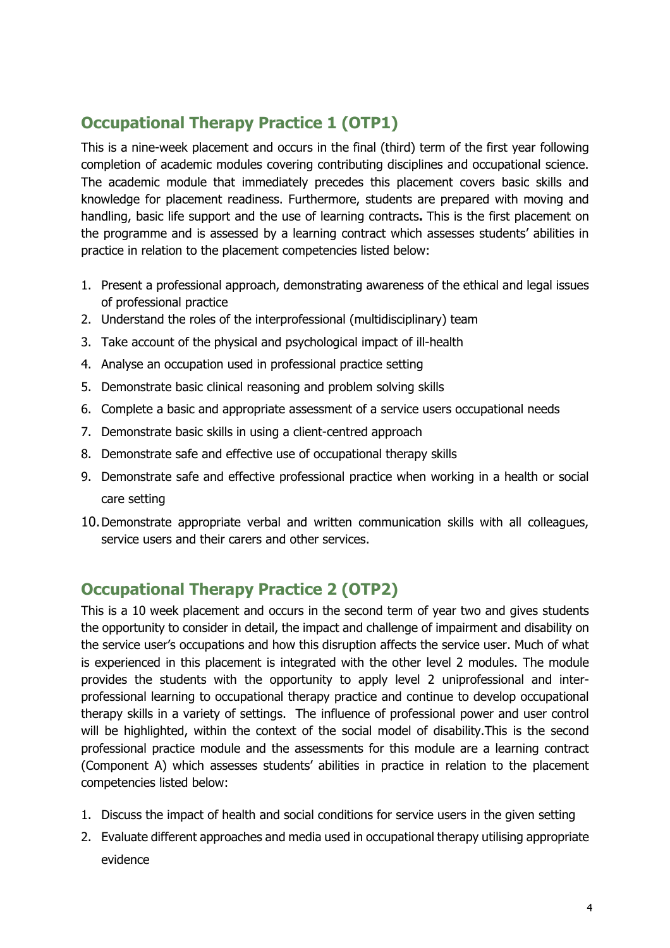#### **Occupational Therapy Practice 1 (OTP1)**

This is a nine-week placement and occurs in the final (third) term of the first year following completion of academic modules covering contributing disciplines and occupational science. The academic module that immediately precedes this placement covers basic skills and knowledge for placement readiness. Furthermore, students are prepared with moving and handling, basic life support and the use of learning contracts**.** This is the first placement on the programme and is assessed by a learning contract which assesses students' abilities in practice in relation to the placement competencies listed below:

- 1. Present a professional approach, demonstrating awareness of the ethical and legal issues of professional practice
- 2. Understand the roles of the interprofessional (multidisciplinary) team
- 3. Take account of the physical and psychological impact of ill-health
- 4. Analyse an occupation used in professional practice setting
- 5. Demonstrate basic clinical reasoning and problem solving skills
- 6. Complete a basic and appropriate assessment of a service users occupational needs
- 7. Demonstrate basic skills in using a client-centred approach
- 8. Demonstrate safe and effective use of occupational therapy skills
- 9. Demonstrate safe and effective professional practice when working in a health or social care setting
- 10.Demonstrate appropriate verbal and written communication skills with all colleagues, service users and their carers and other services.

#### **Occupational Therapy Practice 2 (OTP2)**

This is a 10 week placement and occurs in the second term of year two and gives students the opportunity to consider in detail, the impact and challenge of impairment and disability on the service user's occupations and how this disruption affects the service user. Much of what is experienced in this placement is integrated with the other level 2 modules. The module provides the students with the opportunity to apply level 2 uniprofessional and interprofessional learning to occupational therapy practice and continue to develop occupational therapy skills in a variety of settings. The influence of professional power and user control will be highlighted, within the context of the social model of disability.This is the second professional practice module and the assessments for this module are a learning contract (Component A) which assesses students' abilities in practice in relation to the placement competencies listed below:

- 1. Discuss the impact of health and social conditions for service users in the given setting
- 2. Evaluate different approaches and media used in occupational therapy utilising appropriate evidence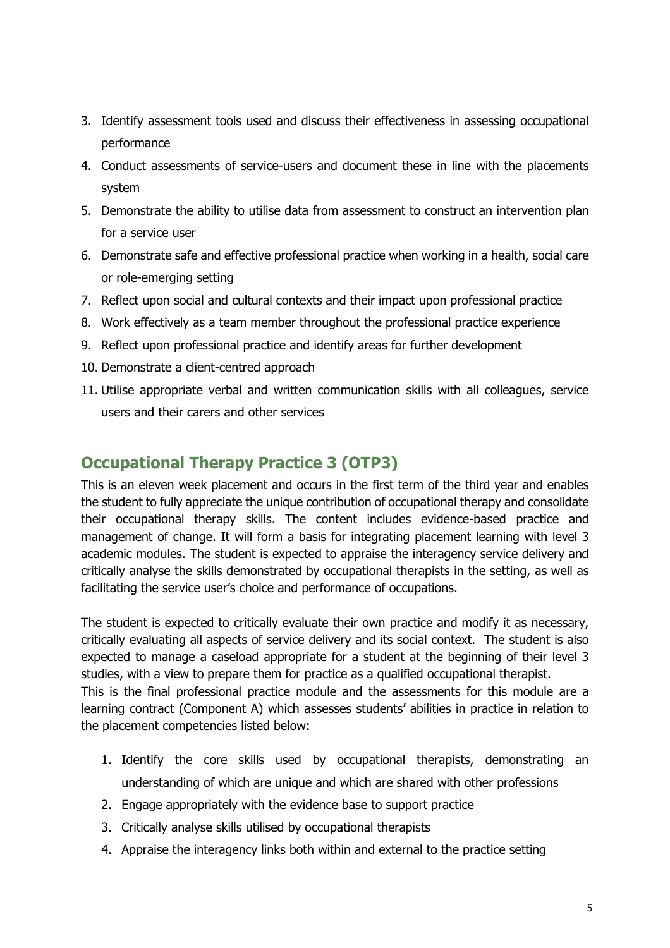- 3. Identify assessment tools used and discuss their effectiveness in assessing occupational performance
- 4. Conduct assessments of service-users and document these in line with the placements system
- 5. Demonstrate the ability to utilise data from assessment to construct an intervention plan for a service user
- 6. Demonstrate safe and effective professional practice when working in a health, social care or role-emerging setting
- 7. Reflect upon social and cultural contexts and their impact upon professional practice
- 8. Work effectively as a team member throughout the professional practice experience
- 9. Reflect upon professional practice and identify areas for further development
- 10. Demonstrate a client-centred approach
- 11. Utilise appropriate verbal and written communication skills with all colleagues, service users and their carers and other services

#### **Occupational Therapy Practice 3 (OTP3)**

This is an eleven week placement and occurs in the first term of the third year and enables the student to fully appreciate the unique contribution of occupational therapy and consolidate their occupational therapy skills. The content includes evidence-based practice and management of change. It will form a basis for integrating placement learning with level 3 academic modules. The student is expected to appraise the interagency service delivery and critically analyse the skills demonstrated by occupational therapists in the setting, as well as facilitating the service user's choice and performance of occupations.

The student is expected to critically evaluate their own practice and modify it as necessary, critically evaluating all aspects of service delivery and its social context. The student is also expected to manage a caseload appropriate for a student at the beginning of their level 3 studies, with a view to prepare them for practice as a qualified occupational therapist. This is the final professional practice module and the assessments for this module are a learning contract (Component A) which assesses students' abilities in practice in relation to the placement competencies listed below:

- 1. Identify the core skills used by occupational therapists, demonstrating an understanding of which are unique and which are shared with other professions
- 2. Engage appropriately with the evidence base to support practice
- 3. Critically analyse skills utilised by occupational therapists
- 4. Appraise the interagency links both within and external to the practice setting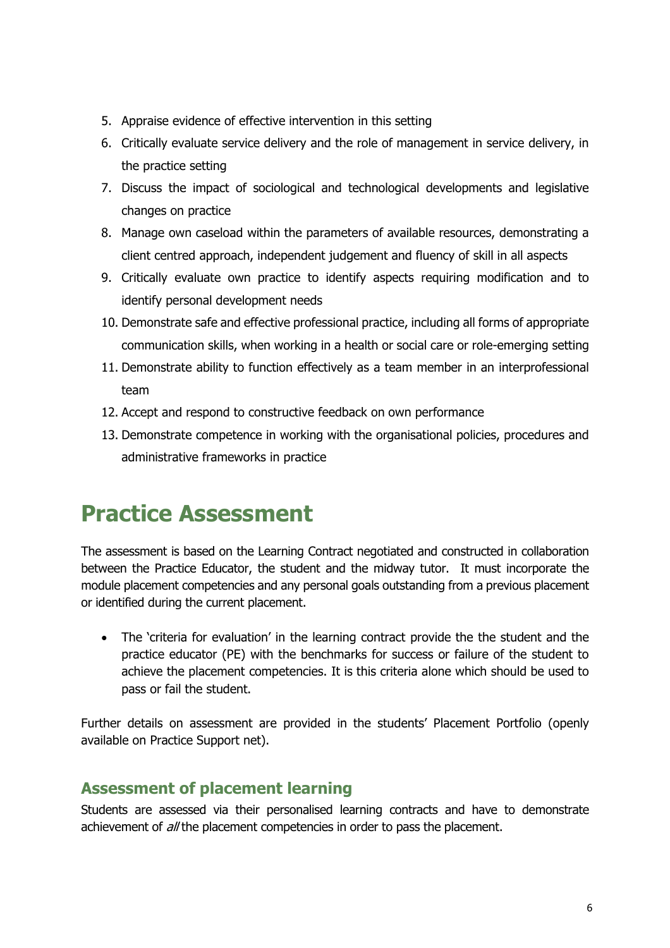- 5. Appraise evidence of effective intervention in this setting
- 6. Critically evaluate service delivery and the role of management in service delivery, in the practice setting
- 7. Discuss the impact of sociological and technological developments and legislative changes on practice
- 8. Manage own caseload within the parameters of available resources, demonstrating a client centred approach, independent judgement and fluency of skill in all aspects
- 9. Critically evaluate own practice to identify aspects requiring modification and to identify personal development needs
- 10. Demonstrate safe and effective professional practice, including all forms of appropriate communication skills, when working in a health or social care or role-emerging setting
- 11. Demonstrate ability to function effectively as a team member in an interprofessional team
- 12. Accept and respond to constructive feedback on own performance
- 13. Demonstrate competence in working with the organisational policies, procedures and administrative frameworks in practice

# <span id="page-5-0"></span>**Practice Assessment**

The assessment is based on the Learning Contract negotiated and constructed in collaboration between the Practice Educator, the student and the midway tutor. It must incorporate the module placement competencies and any personal goals outstanding from a previous placement or identified during the current placement.

• The 'criteria for evaluation' in the learning contract provide the the student and the practice educator (PE) with the benchmarks for success or failure of the student to achieve the placement competencies. It is this criteria alone which should be used to pass or fail the student.

Further details on assessment are provided in the students' Placement Portfolio (openly available on Practice Support net).

#### **Assessment of placement learning**

Students are assessed via their personalised learning contracts and have to demonstrate achievement of *all* the placement competencies in order to pass the placement.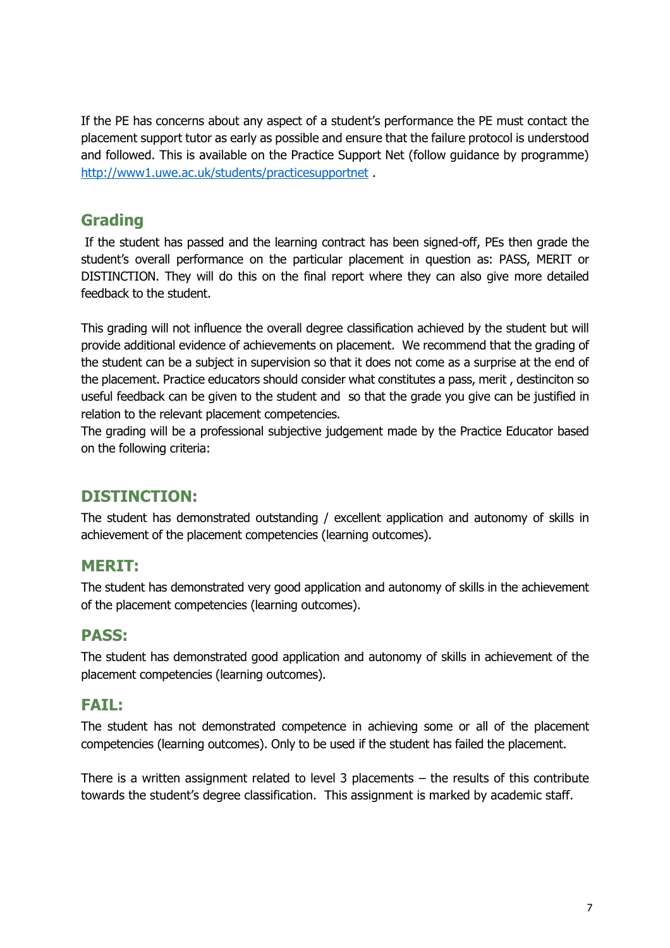If the PE has concerns about any aspect of a student's performance the PE must contact the placement support tutor as early as possible and ensure that the failure protocol is understood and followed. This is available on the Practice Support Net (follow guidance by programme) <http://www1.uwe.ac.uk/students/practicesupportnet> .

#### **Grading**

If the student has passed and the learning contract has been signed-off, PEs then grade the student's overall performance on the particular placement in question as: PASS, MERIT or DISTINCTION. They will do this on the final report where they can also give more detailed feedback to the student.

This grading will not influence the overall degree classification achieved by the student but will provide additional evidence of achievements on placement. We recommend that the grading of the student can be a subject in supervision so that it does not come as a surprise at the end of the placement. Practice educators should consider what constitutes a pass, merit , destinciton so useful feedback can be given to the student and so that the grade you give can be justified in relation to the relevant placement competencies.

The grading will be a professional subjective judgement made by the Practice Educator based on the following criteria:

#### **DISTINCTION:**

The student has demonstrated outstanding / excellent application and autonomy of skills in achievement of the placement competencies (learning outcomes).

#### **MERIT:**

The student has demonstrated very good application and autonomy of skills in the achievement of the placement competencies (learning outcomes).

#### **PASS:**

The student has demonstrated good application and autonomy of skills in achievement of the placement competencies (learning outcomes).

#### **FAIL:**

The student has not demonstrated competence in achieving some or all of the placement competencies (learning outcomes). Only to be used if the student has failed the placement.

There is a written assignment related to level 3 placements – the results of this contribute towards the student's degree classification. This assignment is marked by academic staff.